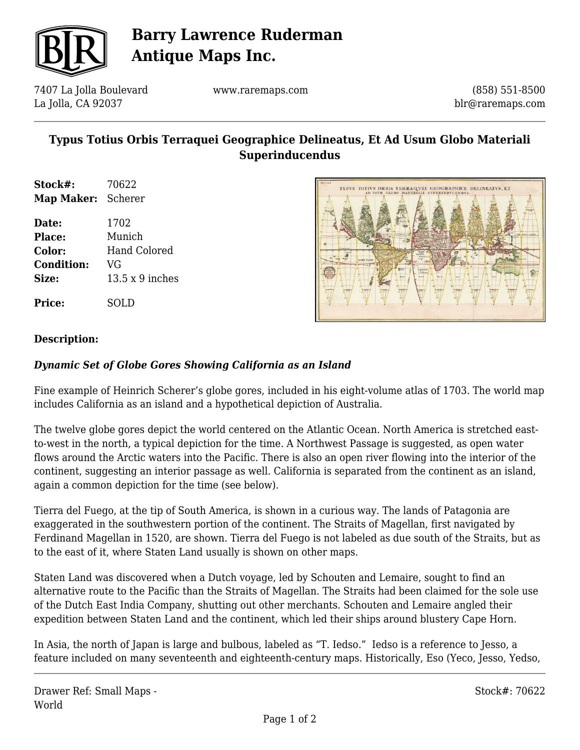

## **Barry Lawrence Ruderman Antique Maps Inc.**

7407 La Jolla Boulevard La Jolla, CA 92037

www.raremaps.com

(858) 551-8500 blr@raremaps.com

## **Typus Totius Orbis Terraquei Geographice Delineatus, Et Ad Usum Globo Materiali Superinducendus**

- **Stock#:** 70622 **Map Maker:** Scherer
- **Date:** 1702 **Place:** Munich **Color:** Hand Colored **Condition:** VG **Size:** 13.5 x 9 inches

**Price:** SOLD



### **Description:**

### *Dynamic Set of Globe Gores Showing California as an Island*

Fine example of Heinrich Scherer's globe gores, included in his eight-volume atlas of 1703. The world map includes California as an island and a hypothetical depiction of Australia.

The twelve globe gores depict the world centered on the Atlantic Ocean. North America is stretched eastto-west in the north, a typical depiction for the time. A Northwest Passage is suggested, as open water flows around the Arctic waters into the Pacific. There is also an open river flowing into the interior of the continent, suggesting an interior passage as well. California is separated from the continent as an island, again a common depiction for the time (see below).

Tierra del Fuego, at the tip of South America, is shown in a curious way. The lands of Patagonia are exaggerated in the southwestern portion of the continent. The Straits of Magellan, first navigated by Ferdinand Magellan in 1520, are shown. Tierra del Fuego is not labeled as due south of the Straits, but as to the east of it, where Staten Land usually is shown on other maps.

Staten Land was discovered when a Dutch voyage, led by Schouten and Lemaire, sought to find an alternative route to the Pacific than the Straits of Magellan. The Straits had been claimed for the sole use of the Dutch East India Company, shutting out other merchants. Schouten and Lemaire angled their expedition between Staten Land and the continent, which led their ships around blustery Cape Horn.

In Asia, the north of Japan is large and bulbous, labeled as "T. Iedso." Iedso is a reference to Jesso, a feature included on many seventeenth and eighteenth-century maps. Historically, Eso (Yeco, Jesso, Yedso,